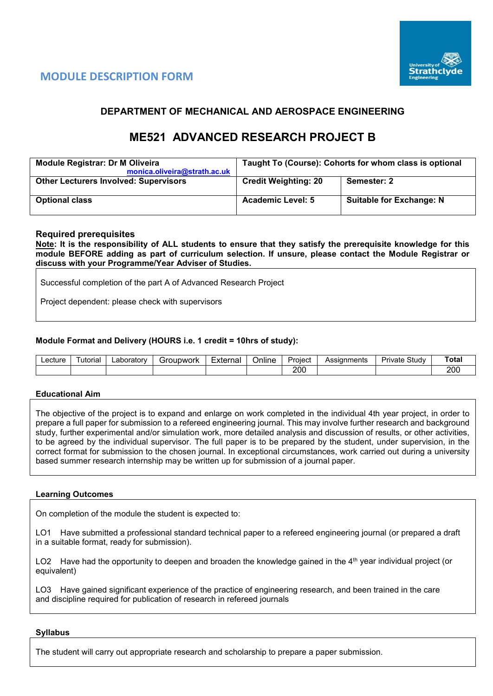



## **DEPARTMENT OF MECHANICAL AND AEROSPACE ENGINEERING**

# **ME521 ADVANCED RESEARCH PROJECT B**

| <b>Module Registrar: Dr M Oliveira</b><br>monica.oliveira@strath.ac.uk | Taught To (Course): Cohorts for whom class is optional |                                 |  |  |  |  |
|------------------------------------------------------------------------|--------------------------------------------------------|---------------------------------|--|--|--|--|
| <b>Other Lecturers Involved: Supervisors</b>                           | <b>Credit Weighting: 20</b>                            | Semester: 2                     |  |  |  |  |
| <b>Optional class</b>                                                  | <b>Academic Level: 5</b>                               | <b>Suitable for Exchange: N</b> |  |  |  |  |

## **Required prerequisites**

**Note: It is the responsibility of ALL students to ensure that they satisfy the prerequisite knowledge for this module BEFORE adding as part of curriculum selection. If unsure, please contact the Module Registrar or discuss with your Programme/Year Adviser of Studies.** 

Successful completion of the part A of Advanced Research Project

Project dependent: please check with supervisors

## **Module Format and Delivery (HOURS i.e. 1 credit = 10hrs of study):**

| Lecture | utorial | ∟aborator∨ | Groupwork<br>ы | External | $\cdots$<br>-<br>Online | -<br>Project | Assianments | $\sim$<br>Study<br>Private | ⊤ota. |
|---------|---------|------------|----------------|----------|-------------------------|--------------|-------------|----------------------------|-------|
|         |         |            |                |          |                         | 200          |             |                            | 200   |

#### **Educational Aim**

The objective of the project is to expand and enlarge on work completed in the individual 4th year project, in order to prepare a full paper for submission to a refereed engineering journal. This may involve further research and background study, further experimental and/or simulation work, more detailed analysis and discussion of results, or other activities, to be agreed by the individual supervisor. The full paper is to be prepared by the student, under supervision, in the correct format for submission to the chosen journal. In exceptional circumstances, work carried out during a university based summer research internship may be written up for submission of a journal paper.

#### **Learning Outcomes**

On completion of the module the student is expected to:

LO1 Have submitted a professional standard technical paper to a refereed engineering journal (or prepared a draft in a suitable format, ready for submission).

LO2 Have had the opportunity to deepen and broaden the knowledge gained in the 4<sup>th</sup> year individual project (or equivalent)

LO3 Have gained significant experience of the practice of engineering research, and been trained in the care and discipline required for publication of research in refereed journals

#### **Syllabus**

The student will carry out appropriate research and scholarship to prepare a paper submission.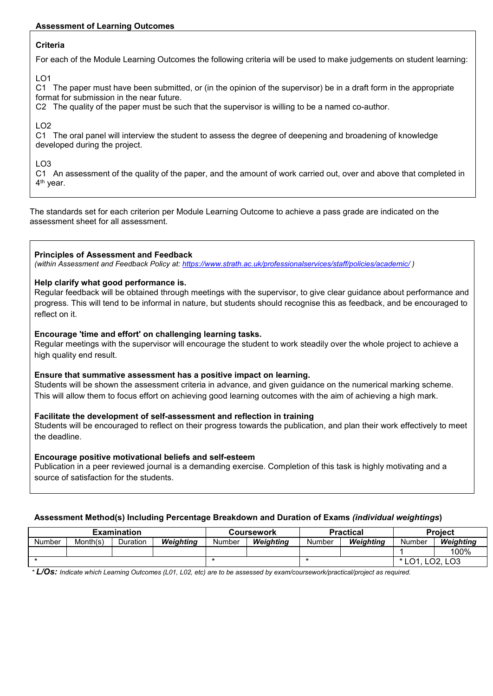## **Assessment of Learning Outcomes**

## **Criteria**

For each of the Module Learning Outcomes the following criteria will be used to make judgements on student learning:

LO1

C1 The paper must have been submitted, or (in the opinion of the supervisor) be in a draft form in the appropriate format for submission in the near future.

C2 The quality of the paper must be such that the supervisor is willing to be a named co-author.

## $LO2$

C1 The oral panel will interview the student to assess the degree of deepening and broadening of knowledge developed during the project.

## LO3

C1 An assessment of the quality of the paper, and the amount of work carried out, over and above that completed in 4th year.

The standards set for each criterion per Module Learning Outcome to achieve a pass grade are indicated on the assessment sheet for all assessment.

## **Principles of Assessment and Feedback**

*(within Assessment and Feedback Policy at: <https://www.strath.ac.uk/professionalservices/staff/policies/academic/> )*

## **Help clarify what good performance is.**

Regular feedback will be obtained through meetings with the supervisor, to give clear guidance about performance and progress. This will tend to be informal in nature, but students should recognise this as feedback, and be encouraged to reflect on it.

## **Encourage 'time and effort' on challenging learning tasks.**

Regular meetings with the supervisor will encourage the student to work steadily over the whole project to achieve a high quality end result.

## **Ensure that summative assessment has a positive impact on learning.**

Students will be shown the assessment criteria in advance, and given guidance on the numerical marking scheme. This will allow them to focus effort on achieving good learning outcomes with the aim of achieving a high mark.

## **Facilitate the development of self-assessment and reflection in training**

Students will be encouraged to reflect on their progress towards the publication, and plan their work effectively to meet the deadline.

## **Encourage positive motivational beliefs and self-esteem**

Publication in a peer reviewed journal is a demanding exercise. Completion of this task is highly motivating and a source of satisfaction for the students.

## **Assessment Method(s) Including Percentage Breakdown and Duration of Exams** *(individual weightings***)**

| <b>Examination</b> |          |          |           |        | <b>Coursework</b> |        | <b>Practical</b> | <b>Project</b>               |           |  |
|--------------------|----------|----------|-----------|--------|-------------------|--------|------------------|------------------------------|-----------|--|
| <b>Number</b>      | Month(s) | Duration | Weiahtina | Number | Weiahtina         | Number | Weiahtina        | Number                       | Weighting |  |
|                    |          |          |           |        |                   |        |                  |                              | 100%      |  |
|                    |          |          |           |        |                   |        |                  | LO1<br>റാ<br>LO <sub>3</sub> |           |  |

*\* L/Os: Indicate which Learning Outcomes (L01, L02, etc) are to be assessed by exam/coursework/practical/project as required.*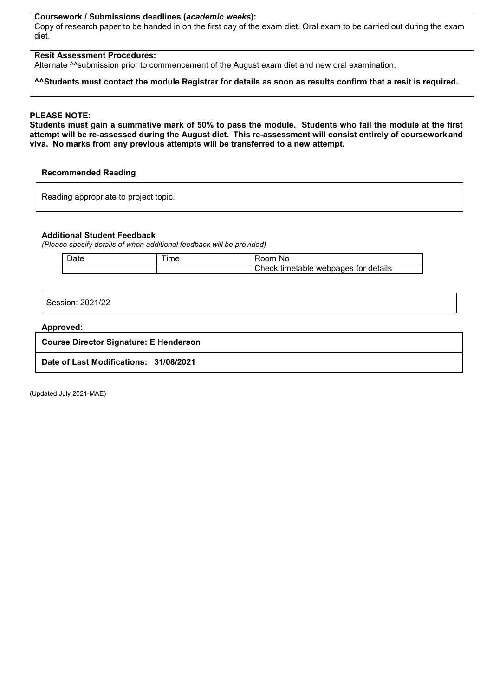## **Coursework / Submissions deadlines (***academic weeks***):**

Copy of research paper to be handed in on the first day of the exam diet. Oral exam to be carried out during the exam diet.

#### **Resit Assessment Procedures:**

Alternate <sup>^^</sup>submission prior to commencement of the August exam diet and new oral examination.

#### **^^Students must contact the module Registrar for details as soon as results confirm that a resit is required.**

#### **PLEASE NOTE:**

**Students must gain a summative mark of 50% to pass the module. Students who fail the module at the first attempt will be re-assessed during the August diet. This re-assessment will consist entirely of courseworkand viva. No marks from any previous attempts will be transferred to a new attempt.**

#### **Recommended Reading**

Reading appropriate to project topic.

#### **Additional Student Feedback**

*(Please specify details of when additional feedback will be provided)*

| <b>Date</b> | $Im\epsilon$ | KOOM.<br>NC.                            |
|-------------|--------------|-----------------------------------------|
|             |              | timetable webpages for details<br>Check |

Session: 2021/22

#### **Approved:**

**Course Director Signature: E Henderson**

**Date of Last Modifications: 31/08/2021**

(Updated July 2021-MAE)